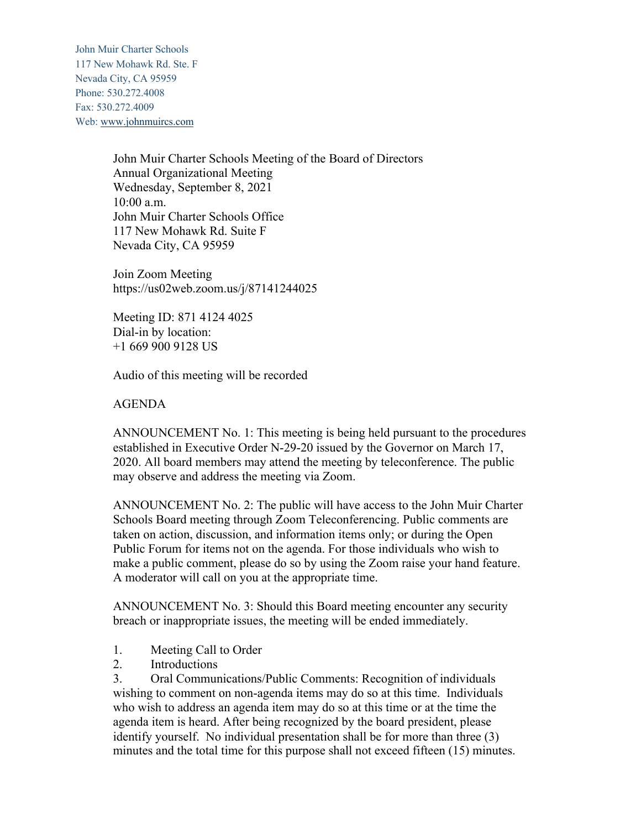John Muir Charter Schools 117 New Mohawk Rd. Ste. F Nevada City, CA 95959 Phone: 530.272.4008 Fax: 530.272.4009 Web: www.johnmuircs.com

> John Muir Charter Schools Meeting of the Board of Directors Annual Organizational Meeting Wednesday, September 8, 2021 10:00 a.m. John Muir Charter Schools Office 117 New Mohawk Rd. Suite F Nevada City, CA 95959

Join Zoom Meeting https://us02web.zoom.us/j/87141244025

Meeting ID: 871 4124 4025 Dial-in by location: +1 669 900 9128 US

Audio of this meeting will be recorded

AGENDA

ANNOUNCEMENT No. 1: This meeting is being held pursuant to the procedures established in Executive Order N-29-20 issued by the Governor on March 17, 2020. All board members may attend the meeting by teleconference. The public may observe and address the meeting via Zoom.

ANNOUNCEMENT No. 2: The public will have access to the John Muir Charter Schools Board meeting through Zoom Teleconferencing. Public comments are taken on action, discussion, and information items only; or during the Open Public Forum for items not on the agenda. For those individuals who wish to make a public comment, please do so by using the Zoom raise your hand feature. A moderator will call on you at the appropriate time.

ANNOUNCEMENT No. 3: Should this Board meeting encounter any security breach or inappropriate issues, the meeting will be ended immediately.

- 1. Meeting Call to Order
- 2. Introductions

3. Oral Communications/Public Comments: Recognition of individuals wishing to comment on non-agenda items may do so at this time. Individuals who wish to address an agenda item may do so at this time or at the time the agenda item is heard. After being recognized by the board president, please identify yourself. No individual presentation shall be for more than three (3) minutes and the total time for this purpose shall not exceed fifteen (15) minutes.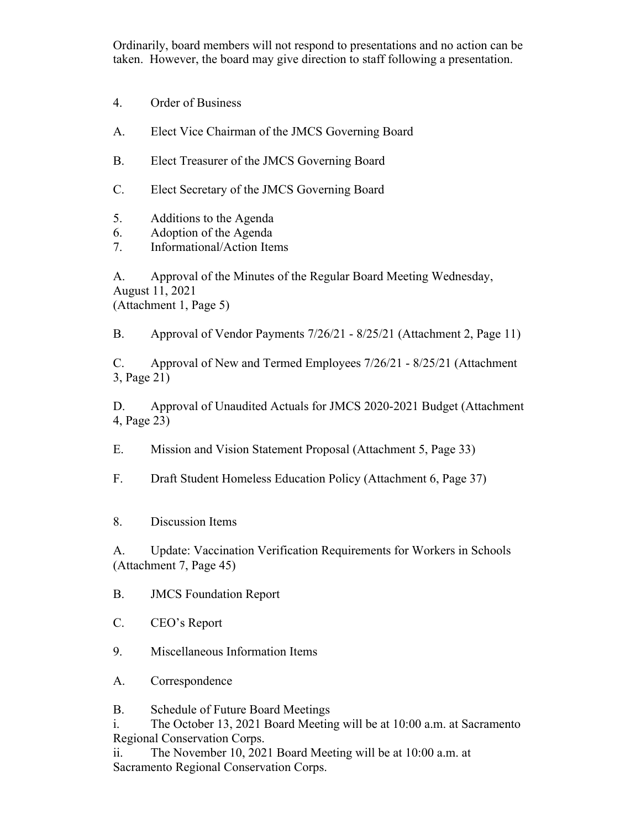Ordinarily, board members will not respond to presentations and no action can be taken. However, the board may give direction to staff following a presentation.

- 4. Order of Business
- A. Elect Vice Chairman of the JMCS Governing Board
- B. Elect Treasurer of the JMCS Governing Board
- C. Elect Secretary of the JMCS Governing Board
- 5. Additions to the Agenda
- 6. Adoption of the Agenda
- 7. Informational/Action Items

A. Approval of the Minutes of the Regular Board Meeting Wednesday, August 11, 2021 (Attachment 1, Page 5)

B. Approval of Vendor Payments 7/26/21 - 8/25/21 (Attachment 2, Page 11)

C. Approval of New and Termed Employees 7/26/21 - 8/25/21 (Attachment 3, Page 21)

D. Approval of Unaudited Actuals for JMCS 2020-2021 Budget (Attachment 4, Page 23)

E. Mission and Vision Statement Proposal (Attachment 5, Page 33)

F. Draft Student Homeless Education Policy (Attachment 6, Page 37)

8. Discussion Items

A. Update: Vaccination Verification Requirements for Workers in Schools (Attachment 7, Page 45)

B. JMCS Foundation Report

- C. CEO's Report
- 9. Miscellaneous Information Items
- A. Correspondence

B. Schedule of Future Board Meetings

i. The October 13, 2021 Board Meeting will be at 10:00 a.m. at Sacramento Regional Conservation Corps.

ii. The November 10, 2021 Board Meeting will be at 10:00 a.m. at Sacramento Regional Conservation Corps.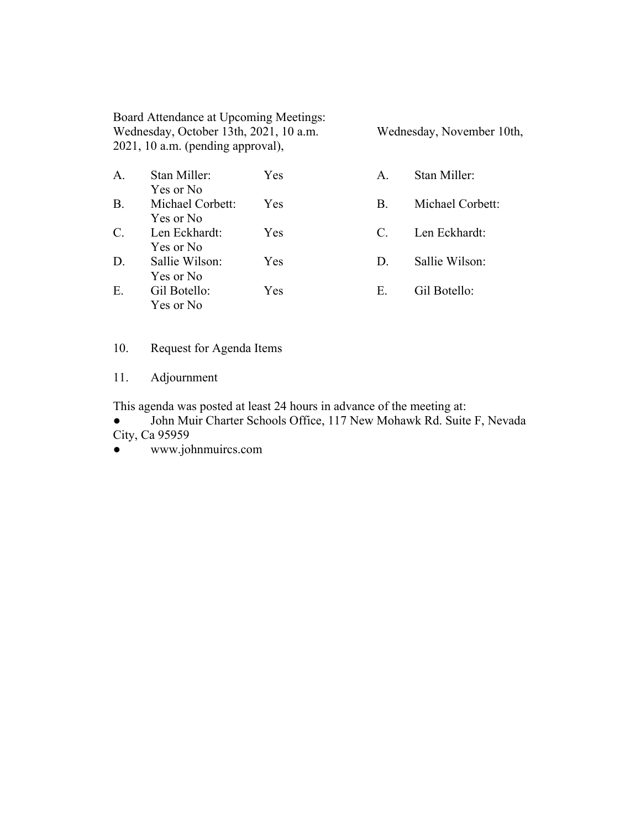Board Attendance at Upcoming Meetings: Wednesday, October 13th, 2021, 10 a.m. Wednesday, November 10th, 2021, 10 a.m. (pending approval),

| $\Delta$ | Stan Miller:     | Yes |
|----------|------------------|-----|
|          | Yes or No        |     |
| B.       | Michael Corbett: | Yes |
|          | Yes or No        |     |
| C.       | Len Eckhardt:    | Yes |
|          | Yes or No        |     |
| D.       | Sallie Wilson:   | Yes |
|          | Yes or No        |     |
| E.       | Gil Botello:     | Yes |
|          | Yes or No        |     |

- A. Stan Miller:
- B. Michael Corbett:
- C. Len Eckhardt:
- D. Sallie Wilson:
- E. Gil Botello:

10. Request for Agenda Items

11. Adjournment

This agenda was posted at least 24 hours in advance of the meeting at:

● John Muir Charter Schools Office, 117 New Mohawk Rd. Suite F, Nevada City, Ca 95959

www.johnmuircs.com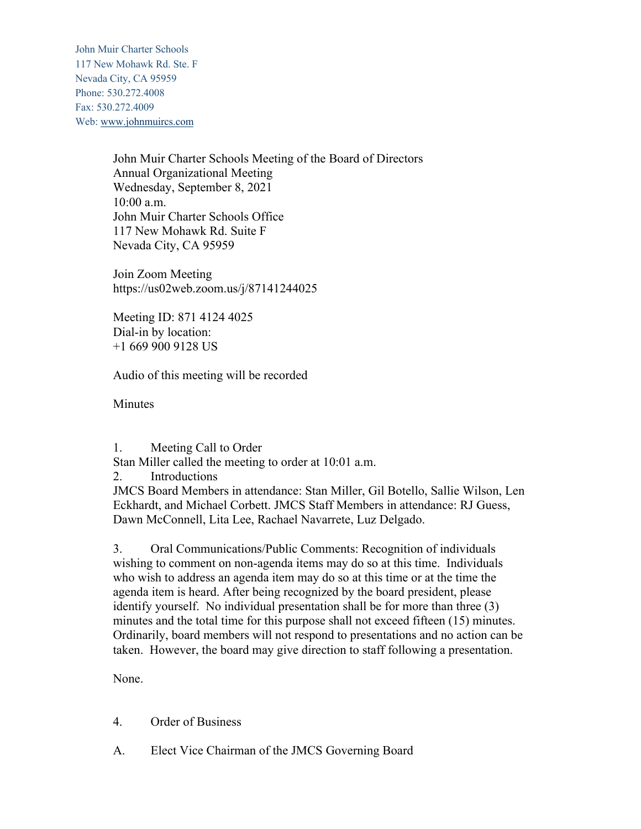John Muir Charter Schools 117 New Mohawk Rd. Ste. F Nevada City, CA 95959 Phone: 530.272.4008 Fax: 530.272.4009 Web: www.johnmuircs.com

> John Muir Charter Schools Meeting of the Board of Directors Annual Organizational Meeting Wednesday, September 8, 2021 10:00 a.m. John Muir Charter Schools Office 117 New Mohawk Rd. Suite F Nevada City, CA 95959

Join Zoom Meeting https://us02web.zoom.us/j/87141244025

Meeting ID: 871 4124 4025 Dial-in by location: +1 669 900 9128 US

Audio of this meeting will be recorded

**Minutes** 

1. Meeting Call to Order

Stan Miller called the meeting to order at 10:01 a.m.

2. Introductions

JMCS Board Members in attendance: Stan Miller, Gil Botello, Sallie Wilson, Len Eckhardt, and Michael Corbett. JMCS Staff Members in attendance: RJ Guess, Dawn McConnell, Lita Lee, Rachael Navarrete, Luz Delgado.

3. Oral Communications/Public Comments: Recognition of individuals wishing to comment on non-agenda items may do so at this time. Individuals who wish to address an agenda item may do so at this time or at the time the agenda item is heard. After being recognized by the board president, please identify yourself. No individual presentation shall be for more than three (3) minutes and the total time for this purpose shall not exceed fifteen (15) minutes. Ordinarily, board members will not respond to presentations and no action can be taken. However, the board may give direction to staff following a presentation.

None.

- 4. Order of Business
- A. Elect Vice Chairman of the JMCS Governing Board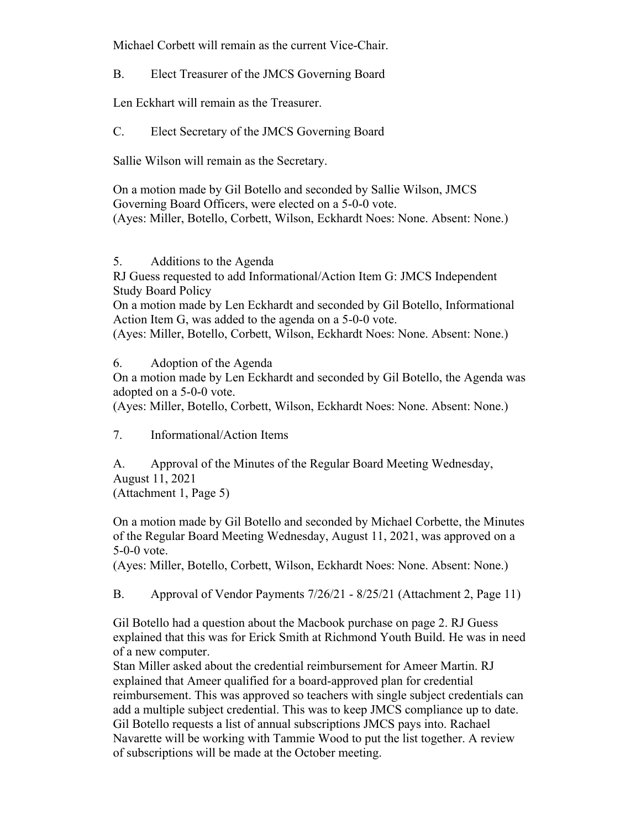Michael Corbett will remain as the current Vice-Chair.

B. Elect Treasurer of the JMCS Governing Board

Len Eckhart will remain as the Treasurer.

C. Elect Secretary of the JMCS Governing Board

Sallie Wilson will remain as the Secretary.

On a motion made by Gil Botello and seconded by Sallie Wilson, JMCS Governing Board Officers, were elected on a 5-0-0 vote. (Ayes: Miller, Botello, Corbett, Wilson, Eckhardt Noes: None. Absent: None.)

5. Additions to the Agenda

RJ Guess requested to add Informational/Action Item G: JMCS Independent Study Board Policy

On a motion made by Len Eckhardt and seconded by Gil Botello, Informational Action Item G, was added to the agenda on a 5-0-0 vote.

(Ayes: Miller, Botello, Corbett, Wilson, Eckhardt Noes: None. Absent: None.)

6. Adoption of the Agenda

On a motion made by Len Eckhardt and seconded by Gil Botello, the Agenda was adopted on a 5-0-0 vote.

(Ayes: Miller, Botello, Corbett, Wilson, Eckhardt Noes: None. Absent: None.)

7. Informational/Action Items

A. Approval of the Minutes of the Regular Board Meeting Wednesday, August 11, 2021 (Attachment 1, Page 5)

On a motion made by Gil Botello and seconded by Michael Corbette, the Minutes of the Regular Board Meeting Wednesday, August 11, 2021, was approved on a 5-0-0 vote.

(Ayes: Miller, Botello, Corbett, Wilson, Eckhardt Noes: None. Absent: None.)

B. Approval of Vendor Payments 7/26/21 - 8/25/21 (Attachment 2, Page 11)

Gil Botello had a question about the Macbook purchase on page 2. RJ Guess explained that this was for Erick Smith at Richmond Youth Build. He was in need of a new computer.

Stan Miller asked about the credential reimbursement for Ameer Martin. RJ explained that Ameer qualified for a board-approved plan for credential reimbursement. This was approved so teachers with single subject credentials can add a multiple subject credential. This was to keep JMCS compliance up to date. Gil Botello requests a list of annual subscriptions JMCS pays into. Rachael Navarette will be working with Tammie Wood to put the list together. A review of subscriptions will be made at the October meeting.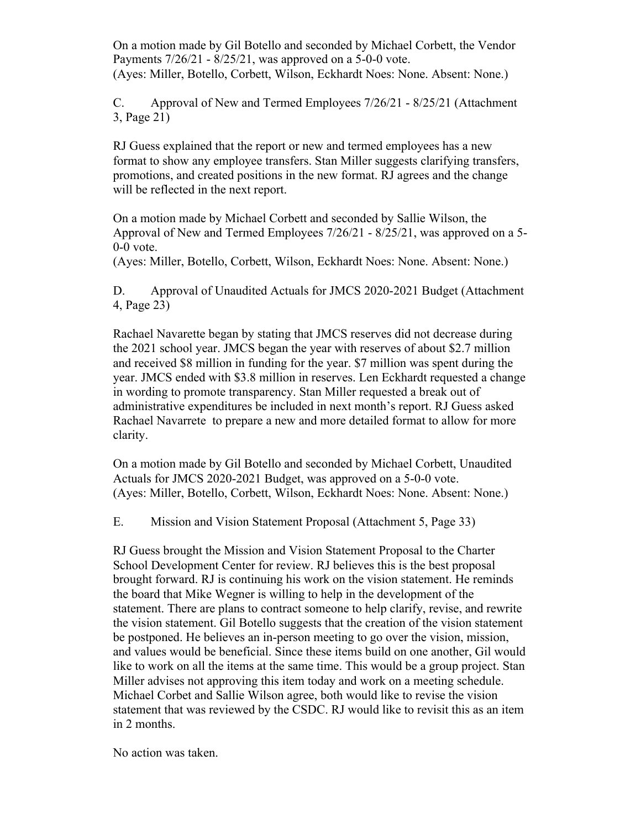On a motion made by Gil Botello and seconded by Michael Corbett, the Vendor Payments 7/26/21 - 8/25/21, was approved on a 5-0-0 vote. (Ayes: Miller, Botello, Corbett, Wilson, Eckhardt Noes: None. Absent: None.)

C. Approval of New and Termed Employees 7/26/21 - 8/25/21 (Attachment 3, Page 21)

RJ Guess explained that the report or new and termed employees has a new format to show any employee transfers. Stan Miller suggests clarifying transfers, promotions, and created positions in the new format. RJ agrees and the change will be reflected in the next report.

On a motion made by Michael Corbett and seconded by Sallie Wilson, the Approval of New and Termed Employees 7/26/21 - 8/25/21, was approved on a 5- 0-0 vote.

(Ayes: Miller, Botello, Corbett, Wilson, Eckhardt Noes: None. Absent: None.)

D. Approval of Unaudited Actuals for JMCS 2020-2021 Budget (Attachment 4, Page 23)

Rachael Navarette began by stating that JMCS reserves did not decrease during the 2021 school year. JMCS began the year with reserves of about \$2.7 million and received \$8 million in funding for the year. \$7 million was spent during the year. JMCS ended with \$3.8 million in reserves. Len Eckhardt requested a change in wording to promote transparency. Stan Miller requested a break out of administrative expenditures be included in next month's report. RJ Guess asked Rachael Navarrete to prepare a new and more detailed format to allow for more clarity.

On a motion made by Gil Botello and seconded by Michael Corbett, Unaudited Actuals for JMCS 2020-2021 Budget, was approved on a 5-0-0 vote. (Ayes: Miller, Botello, Corbett, Wilson, Eckhardt Noes: None. Absent: None.)

E. Mission and Vision Statement Proposal (Attachment 5, Page 33)

RJ Guess brought the Mission and Vision Statement Proposal to the Charter School Development Center for review. RJ believes this is the best proposal brought forward. RJ is continuing his work on the vision statement. He reminds the board that Mike Wegner is willing to help in the development of the statement. There are plans to contract someone to help clarify, revise, and rewrite the vision statement. Gil Botello suggests that the creation of the vision statement be postponed. He believes an in-person meeting to go over the vision, mission, and values would be beneficial. Since these items build on one another, Gil would like to work on all the items at the same time. This would be a group project. Stan Miller advises not approving this item today and work on a meeting schedule. Michael Corbet and Sallie Wilson agree, both would like to revise the vision statement that was reviewed by the CSDC. RJ would like to revisit this as an item in 2 months.

No action was taken.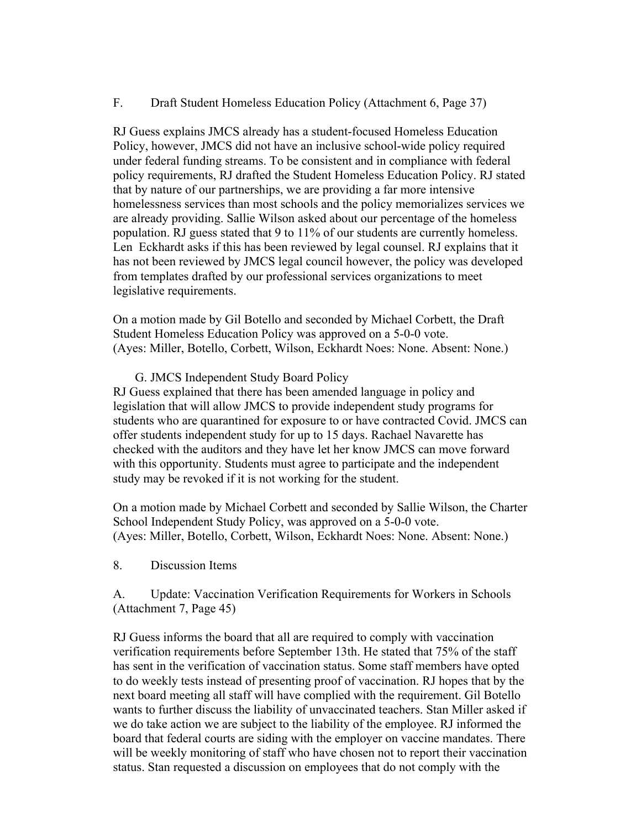F. Draft Student Homeless Education Policy (Attachment 6, Page 37)

RJ Guess explains JMCS already has a student-focused Homeless Education Policy, however, JMCS did not have an inclusive school-wide policy required under federal funding streams. To be consistent and in compliance with federal policy requirements, RJ drafted the Student Homeless Education Policy. RJ stated that by nature of our partnerships, we are providing a far more intensive homelessness services than most schools and the policy memorializes services we are already providing. Sallie Wilson asked about our percentage of the homeless population. RJ guess stated that 9 to 11% of our students are currently homeless. Len Eckhardt asks if this has been reviewed by legal counsel. RJ explains that it has not been reviewed by JMCS legal council however, the policy was developed from templates drafted by our professional services organizations to meet legislative requirements.

On a motion made by Gil Botello and seconded by Michael Corbett, the Draft Student Homeless Education Policy was approved on a 5-0-0 vote. (Ayes: Miller, Botello, Corbett, Wilson, Eckhardt Noes: None. Absent: None.)

G. JMCS Independent Study Board Policy

RJ Guess explained that there has been amended language in policy and legislation that will allow JMCS to provide independent study programs for students who are quarantined for exposure to or have contracted Covid. JMCS can offer students independent study for up to 15 days. Rachael Navarette has checked with the auditors and they have let her know JMCS can move forward with this opportunity. Students must agree to participate and the independent study may be revoked if it is not working for the student.

On a motion made by Michael Corbett and seconded by Sallie Wilson, the Charter School Independent Study Policy, was approved on a 5-0-0 vote. (Ayes: Miller, Botello, Corbett, Wilson, Eckhardt Noes: None. Absent: None.)

8. Discussion Items

A. Update: Vaccination Verification Requirements for Workers in Schools (Attachment 7, Page 45)

RJ Guess informs the board that all are required to comply with vaccination verification requirements before September 13th. He stated that 75% of the staff has sent in the verification of vaccination status. Some staff members have opted to do weekly tests instead of presenting proof of vaccination. RJ hopes that by the next board meeting all staff will have complied with the requirement. Gil Botello wants to further discuss the liability of unvaccinated teachers. Stan Miller asked if we do take action we are subject to the liability of the employee. RJ informed the board that federal courts are siding with the employer on vaccine mandates. There will be weekly monitoring of staff who have chosen not to report their vaccination status. Stan requested a discussion on employees that do not comply with the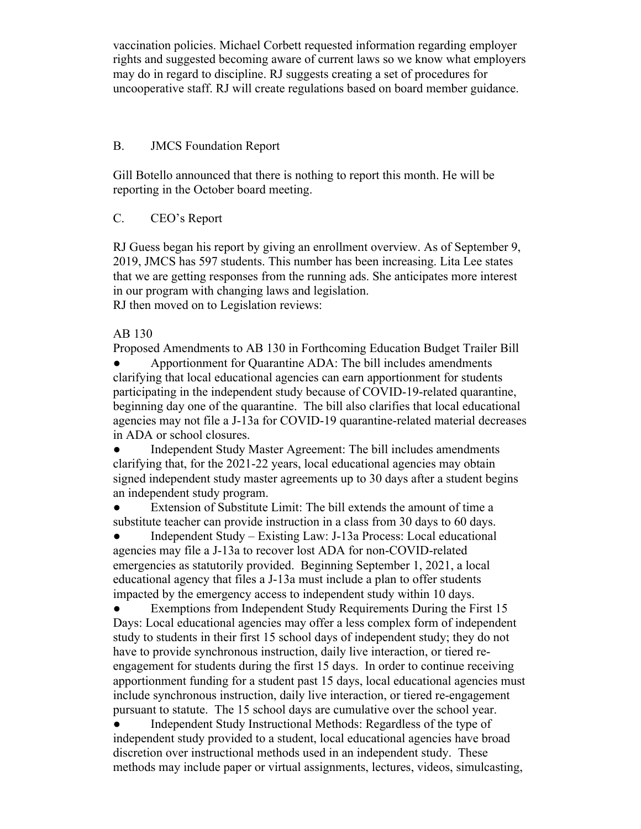vaccination policies. Michael Corbett requested information regarding employer rights and suggested becoming aware of current laws so we know what employers may do in regard to discipline. RJ suggests creating a set of procedures for uncooperative staff. RJ will create regulations based on board member guidance.

## B. JMCS Foundation Report

Gill Botello announced that there is nothing to report this month. He will be reporting in the October board meeting.

## C. CEO's Report

RJ Guess began his report by giving an enrollment overview. As of September 9, 2019, JMCS has 597 students. This number has been increasing. Lita Lee states that we are getting responses from the running ads. She anticipates more interest in our program with changing laws and legislation. RJ then moved on to Legislation reviews:

AB 130

Proposed Amendments to AB 130 in Forthcoming Education Budget Trailer Bill

Apportionment for Quarantine ADA: The bill includes amendments clarifying that local educational agencies can earn apportionment for students participating in the independent study because of COVID-19-related quarantine, beginning day one of the quarantine. The bill also clarifies that local educational agencies may not file a J-13a for COVID-19 quarantine-related material decreases in ADA or school closures.

• Independent Study Master Agreement: The bill includes amendments clarifying that, for the 2021-22 years, local educational agencies may obtain signed independent study master agreements up to 30 days after a student begins an independent study program.

Extension of Substitute Limit: The bill extends the amount of time a substitute teacher can provide instruction in a class from 30 days to 60 days.

● Independent Study – Existing Law: J-13a Process: Local educational agencies may file a J-13a to recover lost ADA for non-COVID-related emergencies as statutorily provided. Beginning September 1, 2021, a local educational agency that files a J-13a must include a plan to offer students impacted by the emergency access to independent study within 10 days.

Exemptions from Independent Study Requirements During the First 15 Days: Local educational agencies may offer a less complex form of independent study to students in their first 15 school days of independent study; they do not have to provide synchronous instruction, daily live interaction, or tiered reengagement for students during the first 15 days. In order to continue receiving apportionment funding for a student past 15 days, local educational agencies must include synchronous instruction, daily live interaction, or tiered re-engagement pursuant to statute. The 15 school days are cumulative over the school year.

Independent Study Instructional Methods: Regardless of the type of independent study provided to a student, local educational agencies have broad discretion over instructional methods used in an independent study. These methods may include paper or virtual assignments, lectures, videos, simulcasting,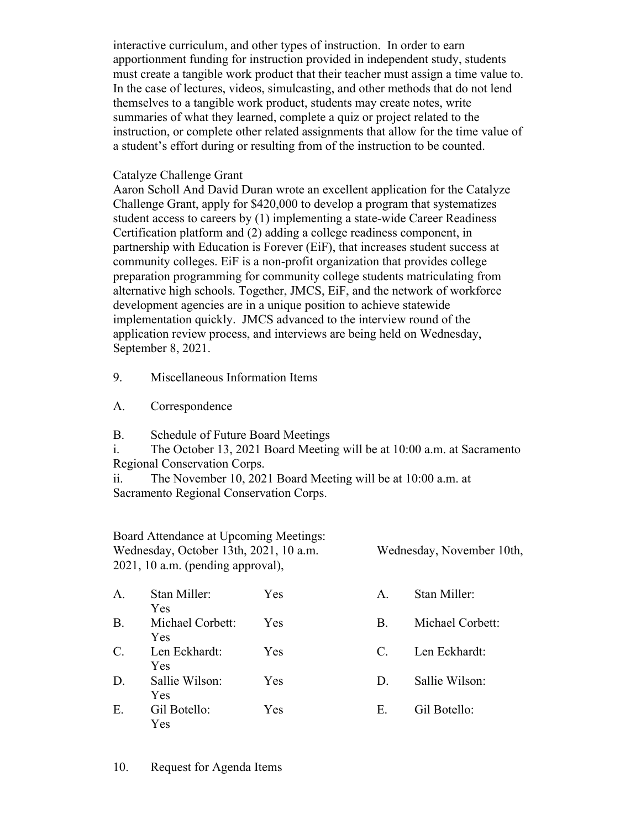interactive curriculum, and other types of instruction. In order to earn apportionment funding for instruction provided in independent study, students must create a tangible work product that their teacher must assign a time value to. In the case of lectures, videos, simulcasting, and other methods that do not lend themselves to a tangible work product, students may create notes, write summaries of what they learned, complete a quiz or project related to the instruction, or complete other related assignments that allow for the time value of a student's effort during or resulting from of the instruction to be counted.

## Catalyze Challenge Grant

Aaron Scholl And David Duran wrote an excellent application for the Catalyze Challenge Grant, apply for \$420,000 to develop a program that systematizes student access to careers by (1) implementing a state-wide Career Readiness Certification platform and (2) adding a college readiness component, in partnership with Education is Forever (EiF), that increases student success at community colleges. EiF is a non-profit organization that provides college preparation programming for community college students matriculating from alternative high schools. Together, JMCS, EiF, and the network of workforce development agencies are in a unique position to achieve statewide implementation quickly. JMCS advanced to the interview round of the application review process, and interviews are being held on Wednesday, September 8, 2021.

9. Miscellaneous Information Items

A. Correspondence

B. Schedule of Future Board Meetings

i. The October 13, 2021 Board Meeting will be at 10:00 a.m. at Sacramento Regional Conservation Corps.

ii. The November 10, 2021 Board Meeting will be at 10:00 a.m. at Sacramento Regional Conservation Corps.

| Board Attendance at Upcoming Meetings: |                           |
|----------------------------------------|---------------------------|
| Wednesday, October 13th, 2021, 10 a.m. | Wednesday, November 10th, |
| 2021, 10 a.m. (pending approval),      |                           |

| A.              | Stan Miller:                | <b>Yes</b> | A.          | Stan Miller:     |
|-----------------|-----------------------------|------------|-------------|------------------|
| <b>B.</b>       | Yes<br>Michael Corbett:     | <b>Yes</b> | B.          | Michael Corbett: |
| $\mathcal{C}$ . | <b>Yes</b><br>Len Eckhardt: | <b>Yes</b> | $C_{\cdot}$ | Len Eckhardt:    |
| D.              | Yes<br>Sallie Wilson:       | Yes        | D.          | Sallie Wilson:   |
| E.              | Yes<br>Gil Botello:         | Yes        | E.          | Gil Botello:     |
|                 | Yes                         |            |             |                  |